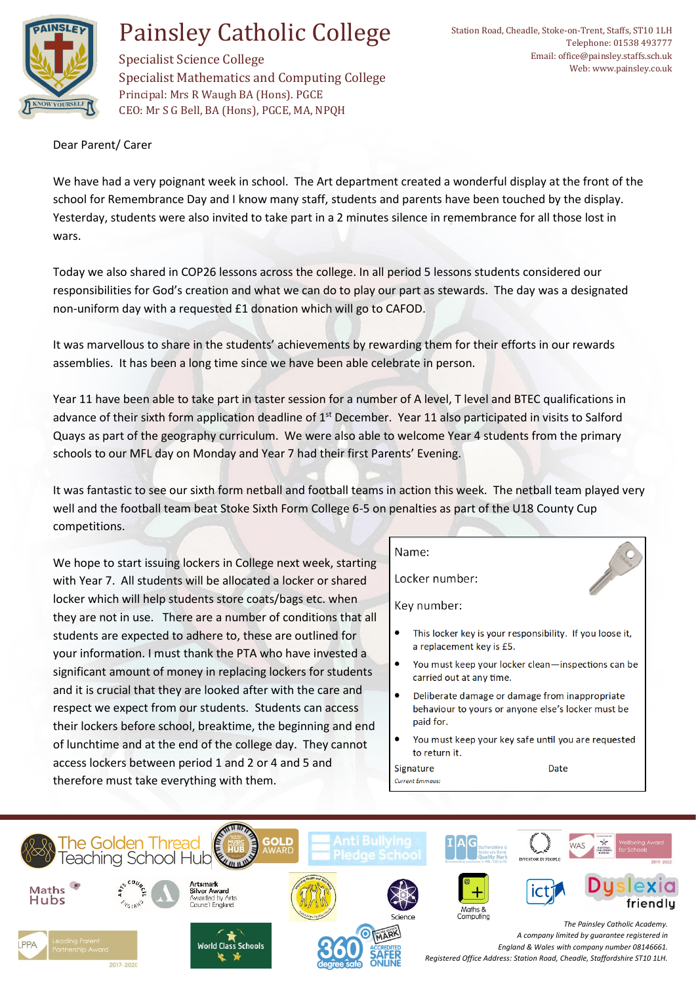

## Painsley Catholic College

Specialist Science College Specialist Mathematics and Computing College Principal: Mrs R Waugh BA (Hons). PGCE CEO: Mr S G Bell, BA (Hons), PGCE, MA, NPQH

Dear Parent/ Carer

We have had a very poignant week in school. The Art department created a wonderful display at the front of the school for Remembrance Day and I know many staff, students and parents have been touched by the display. Yesterday, students were also invited to take part in a 2 minutes silence in remembrance for all those lost in wars.

Today we also shared in COP26 lessons across the college. In all period 5 lessons students considered our responsibilities for God's creation and what we can do to play our part as stewards. The day was a designated non-uniform day with a requested £1 donation which will go to CAFOD.

It was marvellous to share in the students' achievements by rewarding them for their efforts in our rewards assemblies. It has been a long time since we have been able celebrate in person.

Year 11 have been able to take part in taster session for a number of A level, T level and BTEC qualifications in advance of their sixth form application deadline of  $1<sup>st</sup>$  December. Year 11 also participated in visits to Salford Quays as part of the geography curriculum. We were also able to welcome Year 4 students from the primary schools to our MFL day on Monday and Year 7 had their first Parents' Evening.

It was fantastic to see our sixth form netball and football teams in action this week. The netball team played very well and the football team beat Stoke Sixth Form College 6-5 on penalties as part of the U18 County Cup competitions.

We hope to start issuing lockers in College next week, starting with Year 7. All students will be allocated a locker or shared locker which will help students store coats/bags etc. when they are not in use. There are a number of conditions that all students are expected to adhere to, these are outlined for your information. I must thank the PTA who have invested a significant amount of money in replacing lockers for students and it is crucial that they are looked after with the care and respect we expect from our students. Students can access their lockers before school, breaktime, the beginning and end of lunchtime and at the end of the college day. They cannot access lockers between period 1 and 2 or 4 and 5 and therefore must take everything with them.

## Name:

Signature

**Current Emmaus.** 

Locker number:

Key number:

- This locker key is your responsibility. If you loose it, a replacement key is £5.
- You must keep your locker clean-inspections can be carried out at any time.
- Deliberate damage or damage from inappropriate behaviour to yours or anyone else's locker must be paid for.
- You must keep your key safe until you are requested to return it.

Date